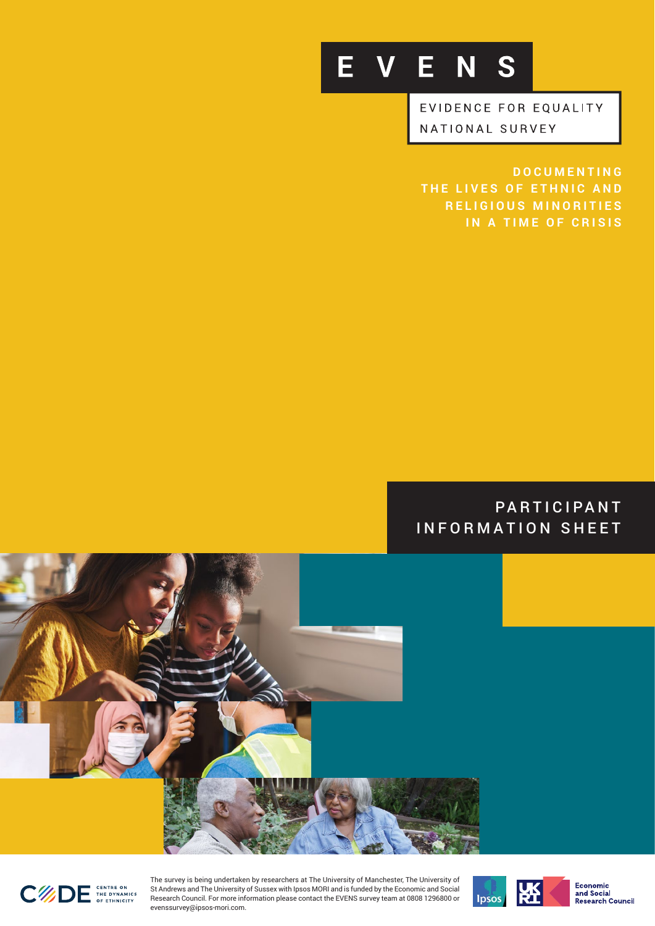

EVIDENCE FOR EQUALITY NATIONAL SURVEY

**DOCUMENTING THE LIVES OF ETHNIC AND RELIGIOUS MINORITIES IN A TIME OF CRISIS**

PARTICIPANT INFORMATION SHEET





The survey is being undertaken by researchers at The University of Manchester, The University of St Andrews and The University of Sussex with Ipsos MORI and is funded by the Economic and Social Research Council. For more information please contact the EVENS survey team at 0808 1296800 or evenssurvey@ipsos-mori.com.





Economic<br>and Social<br>Research Council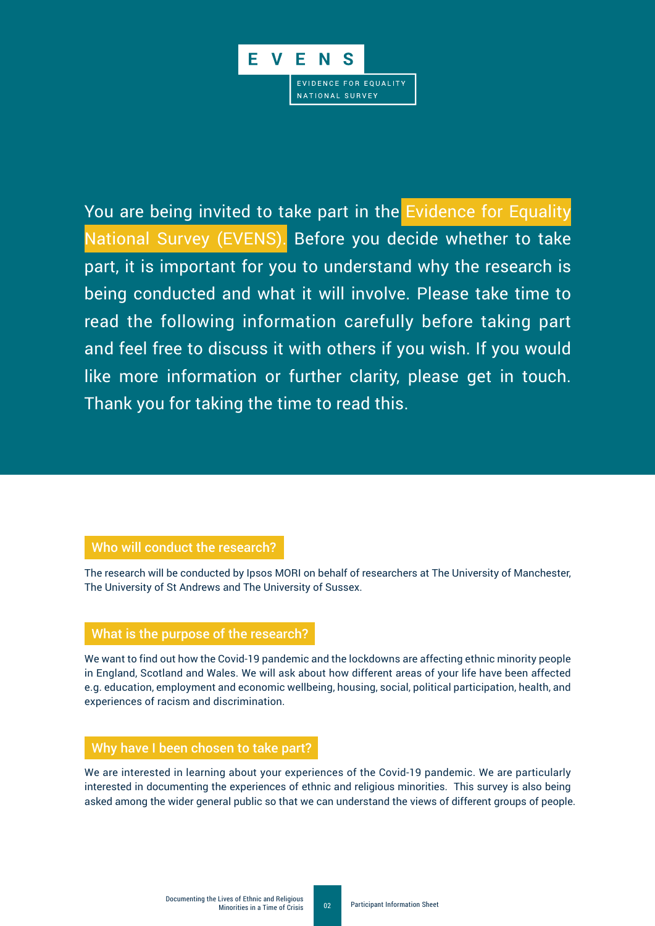

You are being invited to take part in the Evidence for Equality National Survey (EVENS). Before you decide whether to take part, it is important for you to understand why the research is being conducted and what it will involve. Please take time to read the following information carefully before taking part and feel free to discuss it with others if you wish. If you would like more information or further clarity, please get in touch. Thank you for taking the time to read this.

## Who will conduct the research?

The research will be conducted by Ipsos MORI on behalf of researchers at The University of Manchester, The University of St Andrews and The University of Sussex.

### What is the purpose of the research?

We want to find out how the Covid-19 pandemic and the lockdowns are affecting ethnic minority people in England, Scotland and Wales. We will ask about how different areas of your life have been affected e.g. education, employment and economic wellbeing, housing, social, political participation, health, and experiences of racism and discrimination.

# Why have I been chosen to take part?

We are interested in learning about your experiences of the Covid-19 pandemic. We are particularly interested in documenting the experiences of ethnic and religious minorities. This survey is also being asked among the wider general public so that we can understand the views of different groups of people.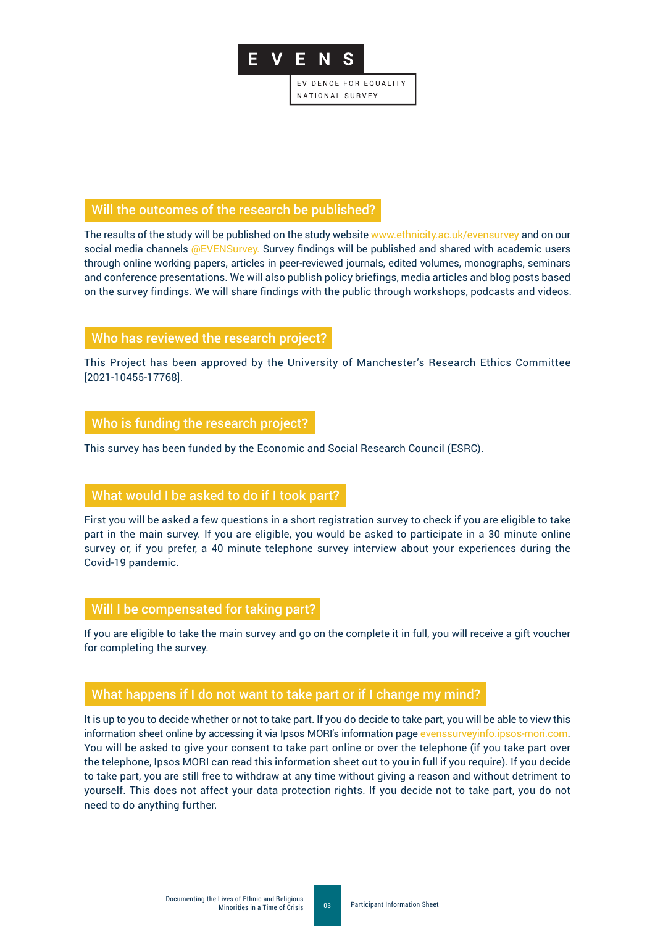

### Will the outcomes of the research be published?

The results of the study will be published on the study website www.ethnicity.ac.uk/evensurvey and on our social media channels @EVENSurvey. Survey findings will be published and shared with academic users through online working papers, articles in peer-reviewed journals, edited volumes, monographs, seminars and conference presentations. We will also publish policy briefings, media articles and blog posts based on the survey findings. We will share findings with the public through workshops, podcasts and videos.

# Who has reviewed the research project?

This Project has been approved by the University of Manchester's Research Ethics Committee [2021-10455-17768].

# Who is funding the research project?

This survey has been funded by the Economic and Social Research Council (ESRC).

# What would I be asked to do if I took part?

First you will be asked a few questions in a short registration survey to check if you are eligible to take part in the main survey. If you are eligible, you would be asked to participate in a 30 minute online survey or, if you prefer, a 40 minute telephone survey interview about your experiences during the Covid-19 pandemic.

# Will I be compensated for taking part?

If you are eligible to take the main survey and go on the complete it in full, you will receive a gift voucher for completing the survey.

# What happens if I do not want to take part or if I change my mind?

It is up to you to decide whether or not to take part. If you do decide to take part, you will be able to view this information sheet online by accessing it via Ipsos MORI's information pag[e evenssurveyinfo.ipsos-mori.com.](https://evenssurveyinfo.ipsos-mori.com/) You will be asked to give your consent to take part online or over the telephone (if you take part over the telephone, Ipsos MORI can read this information sheet out to you in full if you require). If you decide to take part, you are still free to withdraw at any time without giving a reason and without detriment to yourself. This does not affect your data protection rights. If you decide not to take part, you do not need to do anything further.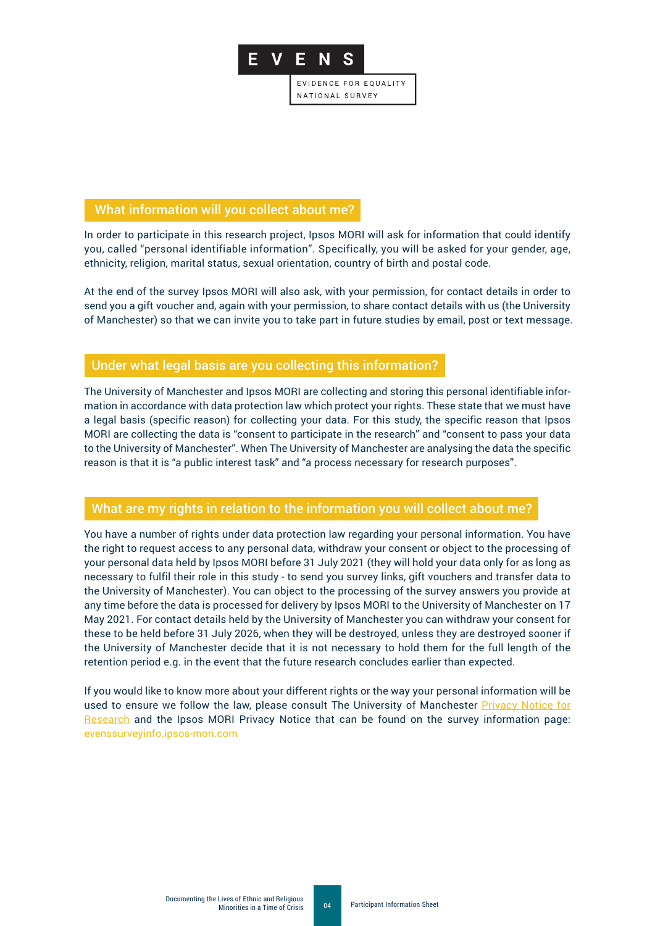

### What information will you collect about me?

In order to participate in this research project, Ipsos MORI will ask for information that could identify you, called "personal identifiable information". Specifically, you will be asked for your gender, age, ethnicity, religion, marital status, sexual orientation, country of birth and postal code.

At the end of the survey Ipsos MORI will also ask, with your permission, for contact details in order to send you a gift voucher and, again with your permission, to share contact details with us (the University of Manchester) so that we can invite you to take part in future studies by email, post or text message.

### Under what legal basis are you collecting this information?

The University of Manchester and Ipsos MORI are collecting and storing this personal identifiable information in accordance with data protection law which protect your rights. These state that we must have a legal basis (specific reason) for collecting your data. For this study, the specific reason that Ipsos MORI are collecting the data is "consent to participate in the research" and "consent to pass your data to the University of Manchester". When The University of Manchester are analysing the data the specific reason is that it is "a public interest task" and "a process necessary for research purposes".

### What are my rights in relation to the information you will collect about me?

You have a number of rights under data protection law regarding your personal information. You have the right to request access to any personal data, withdraw your consent or object to the processing of your personal data held by Ipsos MORI before 31 July 2021 (they will hold your data only for as long as necessary to fulfil their role in this study - to send you survey links, gift vouchers and transfer data to the University of Manchester). You can object to the processing of the survey answers you provide at any time before the data is processed for delivery by Ipsos MORI to the University of Manchester on 17 May 2021. For contact details held by the University of Manchester you can withdraw your consent for these to be held before 31 July 2026, when they will be destroyed, unless they are destroyed sooner if the University of Manchester decide that it is not necessary to hold them for the full length of the retention period e.g. in the event that the future research concludes earlier than expected.

If you would like to know more about your different rights or the way your personal information will be used to ensure we follow the law, please consult The University of Mancheste[r Privacy Notice for](https://documents.manchester.ac.uk/display.aspx?DocID=37095)  [Research](https://documents.manchester.ac.uk/display.aspx?DocID=37095) and the Ipsos MORI Privacy Notice that can be found on the survey information page: [evenssurveyinfo.ipsos-mori.com](https://evenssurveyinfo.ipsos-mori.com/)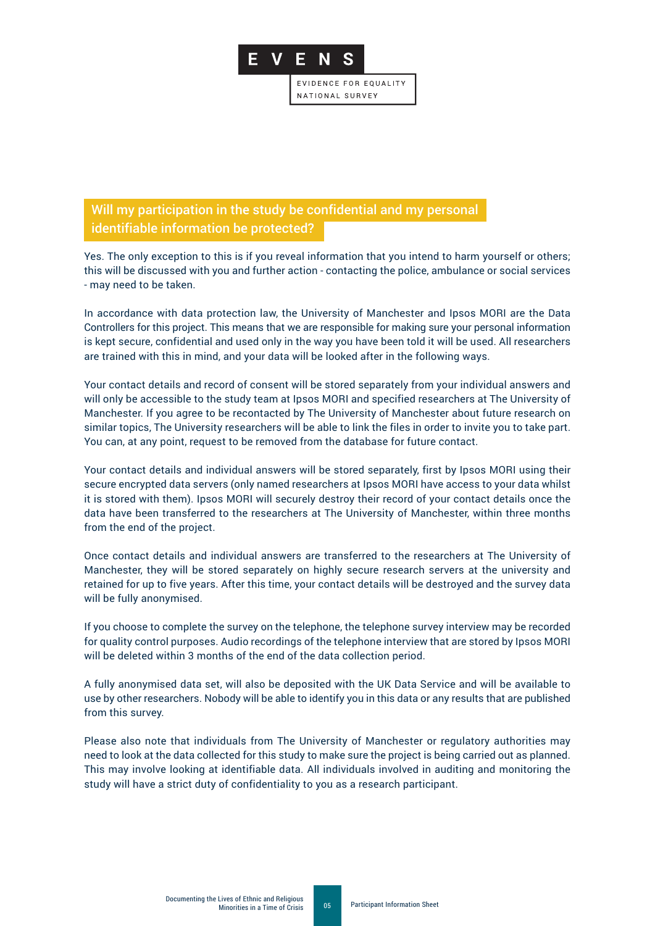

Will my participation in the study be confidential and my personal identifiable information be protected?

Yes. The only exception to this is if you reveal information that you intend to harm yourself or others; this will be discussed with you and further action - contacting the police, ambulance or social services - may need to be taken.

In accordance with data protection law, the University of Manchester and Ipsos MORI are the Data Controllers for this project. This means that we are responsible for making sure your personal information is kept secure, confidential and used only in the way you have been told it will be used. All researchers are trained with this in mind, and your data will be looked after in the following ways.

Your contact details and record of consent will be stored separately from your individual answers and will only be accessible to the study team at Ipsos MORI and specified researchers at The University of Manchester. If you agree to be recontacted by The University of Manchester about future research on similar topics, The University researchers will be able to link the files in order to invite you to take part. You can, at any point, request to be removed from the database for future contact.

Your contact details and individual answers will be stored separately, first by Ipsos MORI using their secure encrypted data servers (only named researchers at Ipsos MORI have access to your data whilst it is stored with them). Ipsos MORI will securely destroy their record of your contact details once the data have been transferred to the researchers at The University of Manchester, within three months from the end of the project.

Once contact details and individual answers are transferred to the researchers at The University of Manchester, they will be stored separately on highly secure research servers at the university and retained for up to five years. After this time, your contact details will be destroyed and the survey data will be fully anonymised.

If you choose to complete the survey on the telephone, the telephone survey interview may be recorded for quality control purposes. Audio recordings of the telephone interview that are stored by Ipsos MORI will be deleted within 3 months of the end of the data collection period.

A fully anonymised data set, will also be deposited with the UK Data Service and will be available to use by other researchers. Nobody will be able to identify you in this data or any results that are published from this survey.

Please also note that individuals from The University of Manchester or regulatory authorities may need to look at the data collected for this study to make sure the project is being carried out as planned. This may involve looking at identifiable data. All individuals involved in auditing and monitoring the study will have a strict duty of confidentiality to you as a research participant.

05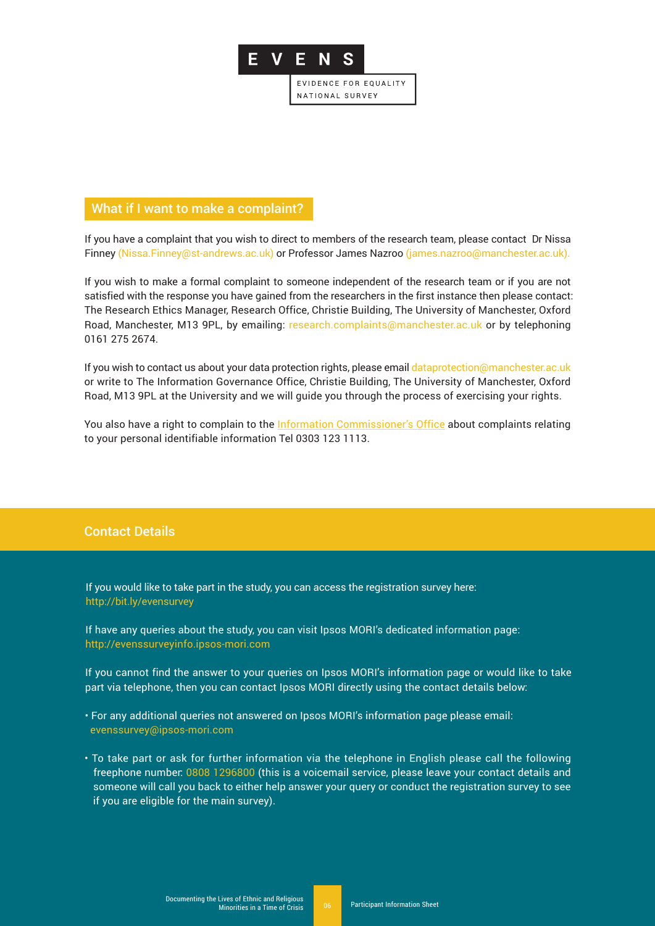

## What if I want to make a complaint?

If you have a complaint that you wish to direct to members of the research team, please contact Dr Nissa Finney (Nissa.Finney@st-andrews.ac.uk) or Professor James Nazroo (james.nazroo@manchester.ac.uk).

If you wish to make a formal complaint to someone independent of the research team or if you are not satisfied with the response you have gained from the researchers in the first instance then please contact: The Research Ethics Manager, Research Office, Christie Building, The University of Manchester, Oxford Road, Manchester, M13 9PL, by emailing: research.complaints@manchester.ac.uk or by telephoning 0161 275 2674.

If you wish to contact us about your data protection rights, please email dataprotection@manchester.ac.uk or write to The Information Governance Office, Christie Building, The University of Manchester, Oxford Road, M13 9PL at the University and we will guide you through the process of exercising your rights.

You also have a right to complain to th[e Information Commissioner's Office a](https://ico.org.uk/make-a-complaint/)bout complaints relating to your personal identifiable information Tel 0303 123 1113.

# Contact Details

If you would like to take part in the study, you can access the registration survey here: http://bit.ly/evensurvey

If have any queries about the study, you can visit Ipsos MORI's dedicated information page: http://evenssurveyinfo.ipsos-mori.com

If you cannot find the answer to your queries on Ipsos MORI's information page or would like to take part via telephone, then you can contact Ipsos MORI directly using the contact details below:

- For any additional queries not answered on Ipsos MORI's information page please email: evenssurvey@ipsos-mori.com
- To take part or ask for further information via the telephone in English please call the following freephone number: 0808 1296800 (this is a voicemail service, please leave your contact details and someone will call you back to either help answer your query or conduct the registration survey to see if you are eligible for the main survey).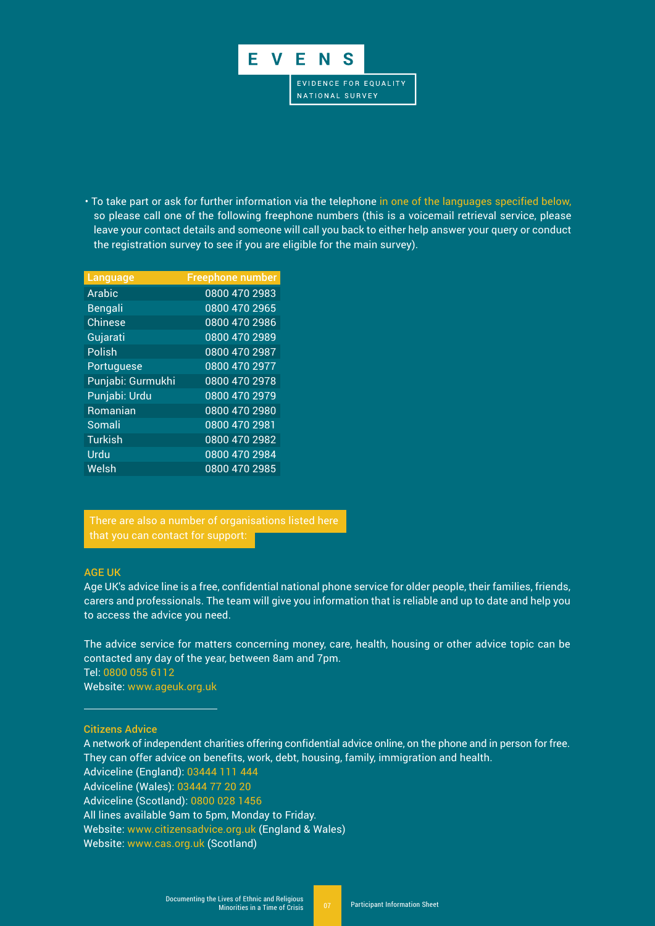

• To take part or ask for further information via the telephone in one of the languages specified below, so please call one of the following freephone numbers (this is a voicemail retrieval service, please leave your contact details and someone will call you back to either help answer your query or conduct the registration survey to see if you are eligible for the main survey).

| Language          | <b>Freephone number</b> |
|-------------------|-------------------------|
| Arabic            | 0800 470 2983           |
| Bengali           | 0800 470 2965           |
| <b>Chinese</b>    | 0800 470 2986           |
| Gujarati          | 0800 470 2989           |
| Polish            | 0800 470 2987           |
| Portuguese        | 0800 470 2977           |
| Punjabi: Gurmukhi | 0800 470 2978           |
| Punjabi: Urdu     | 0800 470 2979           |
| Romanian          | 0800 470 2980           |
| Somali            | 0800 470 2981           |
| <b>Turkish</b>    | 0800 470 2982           |
| Urdu              | 0800 470 2984           |
| Welsh             | 0800 470 2985           |
|                   |                         |

 There are also a number of organisations listed here that you can contact for support:

#### AGE UK

Age UK's advice line is a free, confidential national phone service for older people, their families, friends, carers and professionals. The team will give you information that is reliable and up to date and help you to access the advice you need.

The advice service for matters concerning money, care, health, housing or other advice topic can be contacted any day of the year, between 8am and 7pm. Tel: 0800 055 6112

Website: www.ageuk.org.uk

Citizens Advice

A network of independent charities offering confidential advice online, on the phone and in person for free. They can offer advice on benefits, work, debt, housing, family, immigration and health.

Adviceline (England): 03444 111 444

Adviceline (Wales): 03444 77 20 20

Adviceline (Scotland): 0800 028 1456

All lines available 9am to 5pm, Monday to Friday.

Website: www.citizensadvice.org.uk (England & Wales)

Website: www.cas.org.uk (Scotland)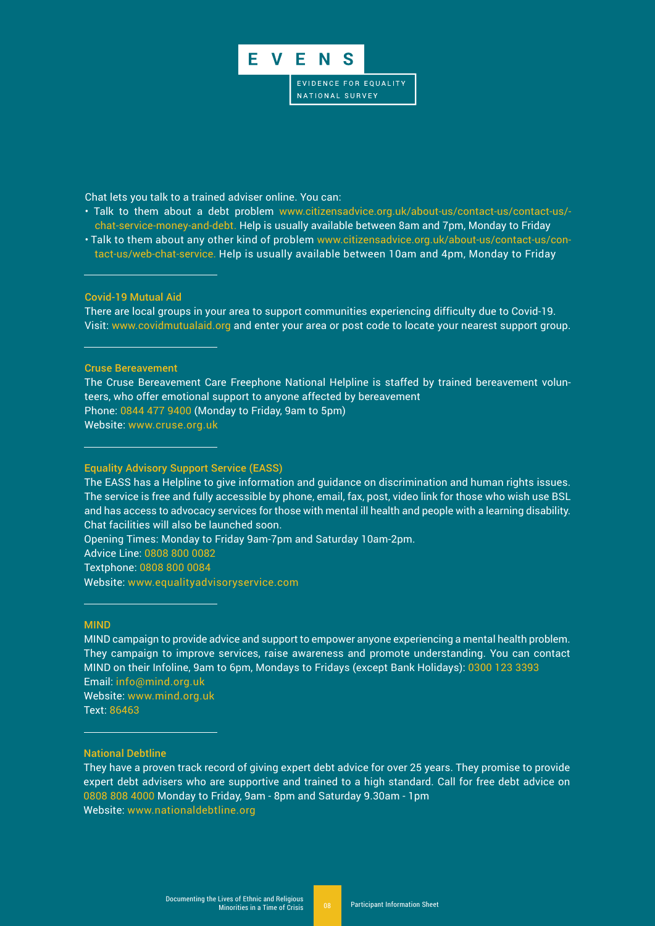

Chat lets you talk to a trained adviser online. You can:

- Talk to them about a debt problem www.citizensadvice.org.uk/about-us/contact-us/contact-us/ chat-service-money-and-debt. Help is usually available between 8am and 7pm, Monday to Friday
- Talk to them about any other kind of problem www.citizensadvice.org.uk/about-us/contact-us/contact-us/web-chat-service. Help is usually available between 10am and 4pm, Monday to Friday

#### Covid-19 Mutual Aid

There are local groups in your area to support communities experiencing difficulty due to Covid-19. Visit: www.covidmutualaid.org and enter your area or post code to locate your nearest support group.

#### Cruse Bereavement

The Cruse Bereavement Care Freephone National Helpline is staffed by trained bereavement volunteers, who offer emotional support to anyone affected by bereavement Phone: 0844 477 9400 (Monday to Friday, 9am to 5pm) Website: www.cruse.org.uk

#### Equality Advisory Support Service (EASS)

The EASS has a Helpline to give information and guidance on discrimination and human rights issues. The service is free and fully accessible by phone, email, fax, post, video link for those who wish use BSL and has access to advocacy services for those with mental ill health and people with a learning disability. Chat facilities will also be launched soon.

Opening Times: Monday to Friday 9am-7pm and Saturday 10am-2pm.

Advice Line: 0808 800 0082

Textphone: 0808 800 0084

Website: www.equalityadvisoryservice.com

#### MIND

MIND campaign to provide advice and support to empower anyone experiencing a mental health problem. They campaign to improve services, raise awareness and promote understanding. You can contact MIND on their Infoline, 9am to 6pm, Mondays to Fridays (except Bank Holidays): 0300 123 3393 Email: info@mind.org.uk

Website: www.mind.org.uk Text: 86463

#### National Debtline

They have a proven track record of giving expert debt advice for over 25 years. They promise to provide expert debt advisers who are supportive and trained to a high standard. Call for free debt advice on 0808 808 4000 Monday to Friday, 9am - 8pm and Saturday 9.30am - 1pm Website: www.nationaldebtline.org